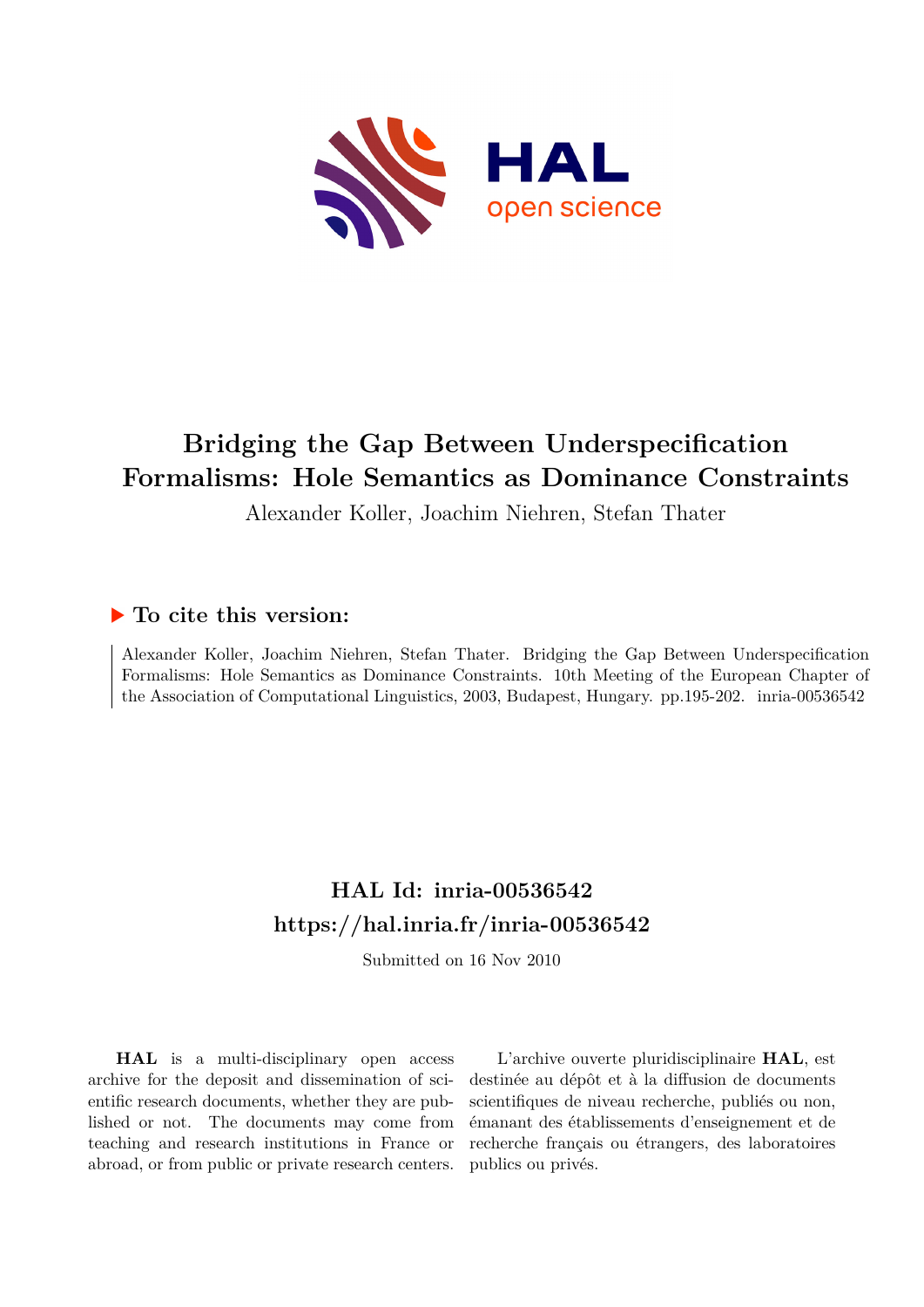

# **Bridging the Gap Between Underspecification Formalisms: Hole Semantics as Dominance Constraints**

Alexander Koller, Joachim Niehren, Stefan Thater

## **To cite this version:**

Alexander Koller, Joachim Niehren, Stefan Thater. Bridging the Gap Between Underspecification Formalisms: Hole Semantics as Dominance Constraints. 10th Meeting of the European Chapter of the Association of Computational Linguistics, 2003, Budapest, Hungary. pp.195-202. inria-00536542

# **HAL Id: inria-00536542 <https://hal.inria.fr/inria-00536542>**

Submitted on 16 Nov 2010

**HAL** is a multi-disciplinary open access archive for the deposit and dissemination of scientific research documents, whether they are published or not. The documents may come from teaching and research institutions in France or abroad, or from public or private research centers.

L'archive ouverte pluridisciplinaire **HAL**, est destinée au dépôt et à la diffusion de documents scientifiques de niveau recherche, publiés ou non, émanant des établissements d'enseignement et de recherche français ou étrangers, des laboratoires publics ou privés.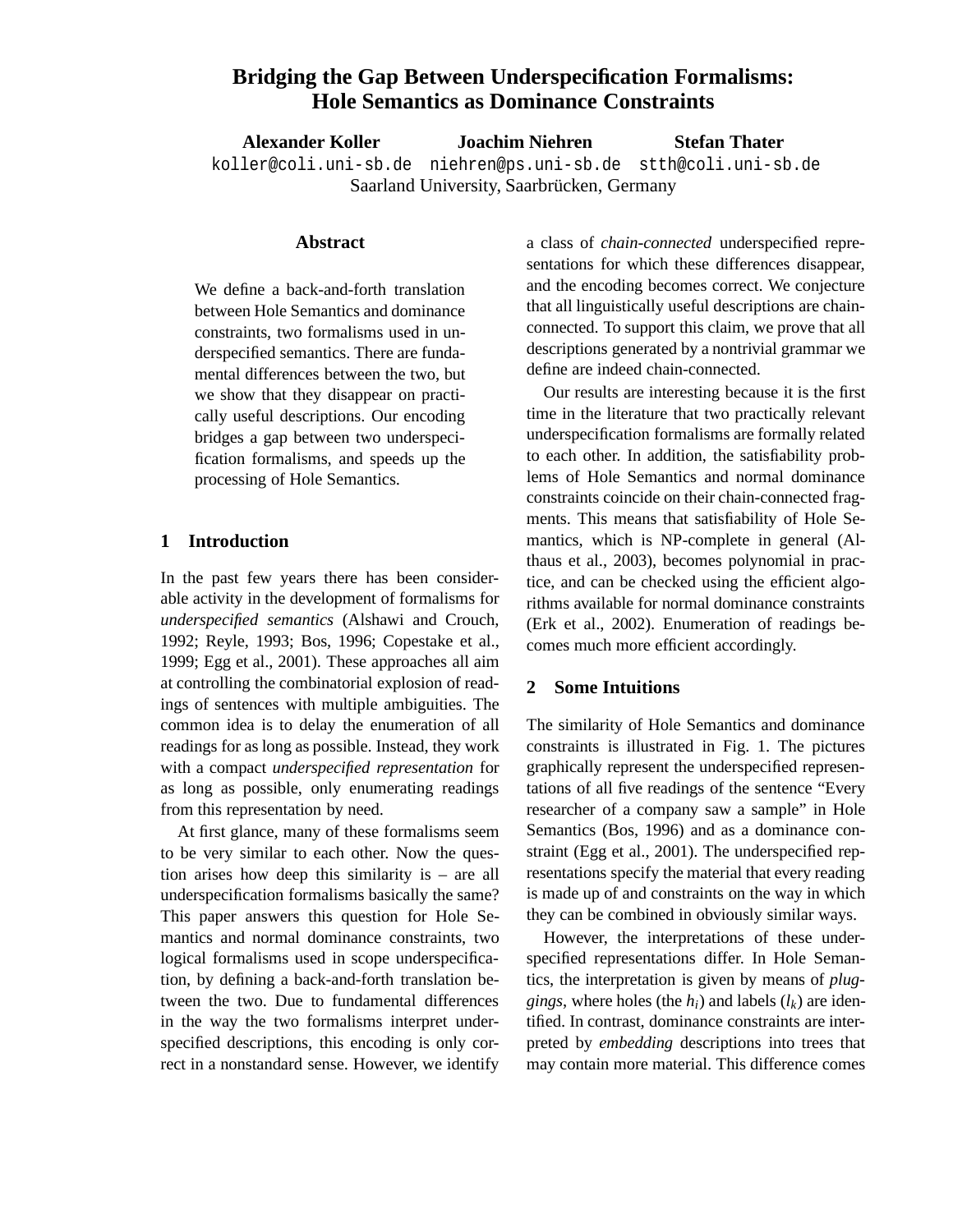## **Bridging the Gap Between Underspecification Formalisms: Hole Semantics as Dominance Constraints**

**Alexander Koller Joachim Niehren Stefan Thater** koller@coli.uni-sb.de niehren@ps.uni-sb.de stth@coli.uni-sb.de Saarland University, Saarbrücken, Germany

## **Abstract**

We define a back-and-forth translation between Hole Semantics and dominance constraints, two formalisms used in underspecified semantics. There are fundamental differences between the two, but we show that they disappear on practically useful descriptions. Our encoding bridges a gap between two underspecification formalisms, and speeds up the processing of Hole Semantics.

## **1 Introduction**

In the past few years there has been considerable activity in the development of formalisms for *underspecified semantics* (Alshawi and Crouch, 1992; Reyle, 1993; Bos, 1996; Copestake et al., 1999; Egg et al., 2001). These approaches all aim at controlling the combinatorial explosion of readings of sentences with multiple ambiguities. The common idea is to delay the enumeration of all readings for as long as possible. Instead, they work with a compact *underspecified representation* for as long as possible, only enumerating readings from this representation by need.

At first glance, many of these formalisms seem to be very similar to each other. Now the question arises how deep this similarity is – are all underspecification formalisms basically the same? This paper answers this question for Hole Semantics and normal dominance constraints, two logical formalisms used in scope underspecification, by defining a back-and-forth translation between the two. Due to fundamental differences in the way the two formalisms interpret underspecified descriptions, this encoding is only correct in a nonstandard sense. However, we identify

a class of *chain-connected* underspecified representations for which these differences disappear, and the encoding becomes correct. We conjecture that all linguistically useful descriptions are chainconnected. To support this claim, we prove that all descriptions generated by a nontrivial grammar we define are indeed chain-connected.

Our results are interesting because it is the first time in the literature that two practically relevant underspecification formalisms are formally related to each other. In addition, the satisfiability problems of Hole Semantics and normal dominance constraints coincide on their chain-connected fragments. This means that satisfiability of Hole Semantics, which is NP-complete in general (Althaus et al., 2003), becomes polynomial in practice, and can be checked using the efficient algorithms available for normal dominance constraints (Erk et al., 2002). Enumeration of readings becomes much more efficient accordingly.

## **2 Some Intuitions**

The similarity of Hole Semantics and dominance constraints is illustrated in Fig. 1. The pictures graphically represent the underspecified representations of all five readings of the sentence "Every researcher of a company saw a sample" in Hole Semantics (Bos, 1996) and as a dominance constraint (Egg et al., 2001). The underspecified representations specify the material that every reading is made up of and constraints on the way in which they can be combined in obviously similar ways.

However, the interpretations of these underspecified representations differ. In Hole Semantics, the interpretation is given by means of *pluggings*, where holes (the  $h_i$ ) and labels ( $l_k$ ) are identified. In contrast, dominance constraints are interpreted by *embedding* descriptions into trees that may contain more material. This difference comes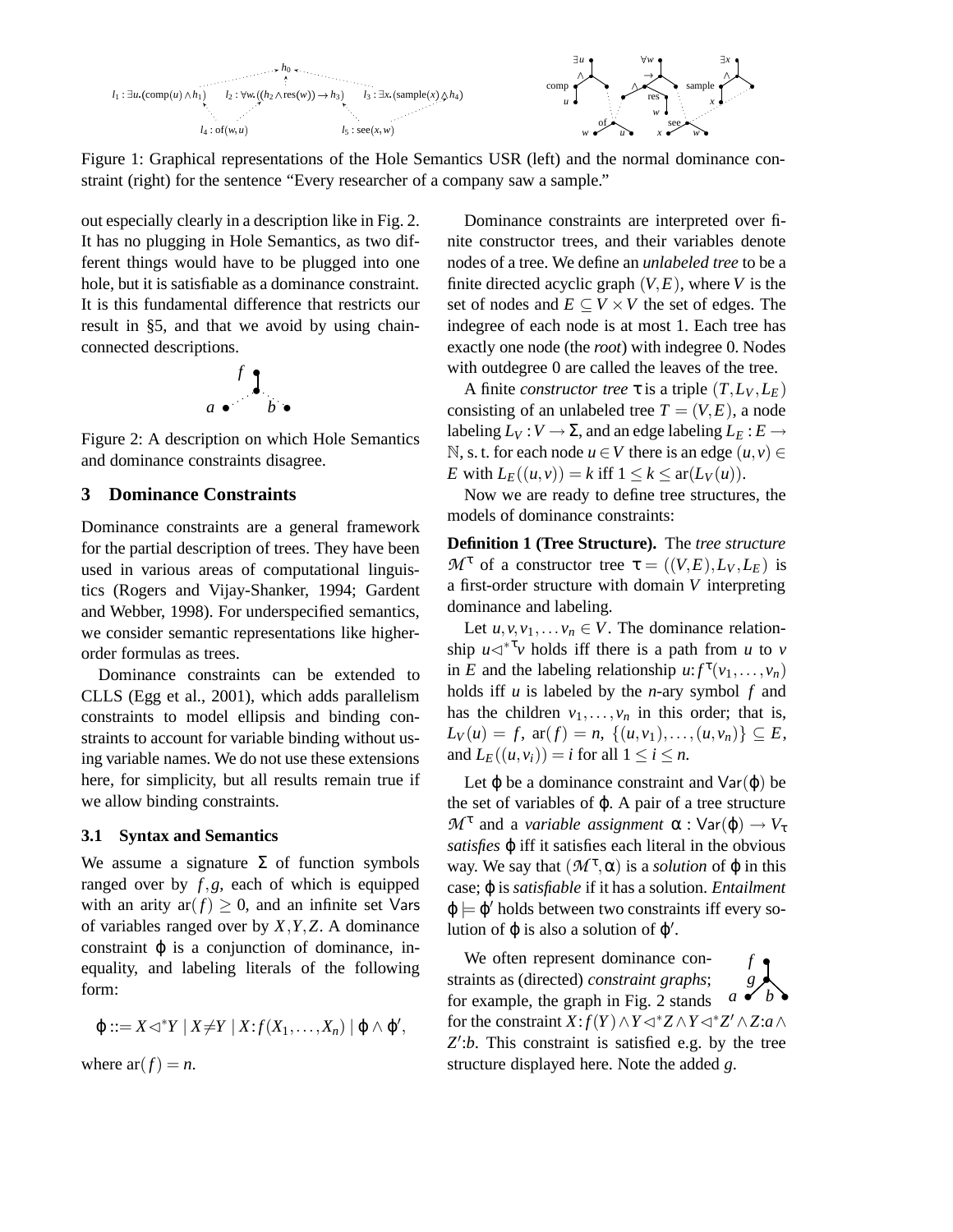

Figure 1: Graphical representations of the Hole Semantics USR (left) and the normal dominance constraint (right) for the sentence "Every researcher of a company saw a sample."

out especially clearly in a description like in Fig. 2. It has no plugging in Hole Semantics, as two different things would have to be plugged into one hole, but it is satisfiable as a dominance constraint. It is this fundamental difference that restricts our result in §5, and that we avoid by using chainconnected descriptions.

$$
\begin{array}{c} \n f \downarrow \\ a \bullet \quad b \bullet \end{array}
$$

Figure 2: A description on which Hole Semantics and dominance constraints disagree.

## **3 Dominance Constraints**

Dominance constraints are a general framework for the partial description of trees. They have been used in various areas of computational linguistics (Rogers and Vijay-Shanker, 1994; Gardent and Webber, 1998). For underspecified semantics, we consider semantic representations like higherorder formulas as trees.

Dominance constraints can be extended to CLLS (Egg et al., 2001), which adds parallelism constraints to model ellipsis and binding constraints to account for variable binding without using variable names. We do not use these extensions here, for simplicity, but all results remain true if we allow binding constraints.

## **3.1 Syntax and Semantics**

We assume a signature  $\Sigma$  of function symbols ranged over by *f*,*g*, each of which is equipped with an arity ar $(f) \geq 0$ , and an infinite set Vars of variables ranged over by *X*,*Y*,*Z*. A dominance constraint  $\varphi$  is a conjunction of dominance, inequality, and labeling literals of the following form:

$$
\varphi ::= X \lhd^* Y \mid X \neq Y \mid X : f(X_1, \ldots, X_n) \mid \varphi \wedge \varphi',
$$

where  $ar(f) = n$ .

Dominance constraints are interpreted over finite constructor trees, and their variables denote nodes of a tree. We define an *unlabeled tree* to be a finite directed acyclic graph  $(V, E)$ , where *V* is the set of nodes and  $E \subseteq V \times V$  the set of edges. The indegree of each node is at most 1. Each tree has exactly one node (the *root*) with indegree 0. Nodes with outdegree 0 are called the leaves of the tree.

A finite *constructor tree*  $\tau$  is a triple  $(T, L_V, L_E)$ consisting of an unlabeled tree  $T = (V, E)$ , a node labeling  $L_V: V \to \Sigma$ , and an edge labeling  $L_E: E \to$ N, s. t. for each node *u* ∈ *V* there is an edge  $(u, v)$  ∈ *E* with  $L_E((u, v)) = k$  iff  $1 \leq k \leq \text{ar}(L_V(u))$ .

Now we are ready to define tree structures, the models of dominance constraints:

**Definition 1 (Tree Structure).** The *tree structure M*<sup>τ</sup> of a constructor tree  $\tau = ((V,E), L_V, L_E)$  is a first-order structure with domain *V* interpreting dominance and labeling.

Let  $u, v, v_1, \ldots, v_n \in V$ . The dominance relationship  $u \leq v^*$  holds iff there is a path from *u* to *v* in *E* and the labeling relationship  $u: f^{\tau}(v_1, \ldots, v_n)$ holds iff *u* is labeled by the *n*-ary symbol *f* and has the children  $v_1, \ldots, v_n$  in this order; that is,  $L_V(u) = f$ , ar(*f*) = *n*, {(*u*, *v*<sub>1</sub>),...,(*u*, *v*<sub>*n*</sub>)} ⊆ *E*, and  $L_E((u, v_i)) = i$  for all  $1 \le i \le n$ .

Let  $\varphi$  be a dominance constraint and  $Var(\varphi)$  be the set of variables of  $\varphi$ . A pair of a tree structure  $\mathcal{M}^{\tau}$  and a *variable assignment*  $\alpha$  :  $\text{Var}(\varphi) \rightarrow V_{\tau}$ *satisfies* ϕ iff it satisfies each literal in the obvious way. We say that  $(M^{\tau}, \alpha)$  is a *solution* of  $\varphi$  in this case; ϕ is *satisfiable* if it has a solution. *Entailment*  $\varphi \models \varphi'$  holds between two constraints iff every solution of  $\varphi$  is also a solution of  $\varphi'$ .

*f* • *g* • *a* • *b* • We often represent dominance constraints as (directed) *constraint graphs*; for example, the graph in Fig. 2 stands for the constraint *X*: *f*(*Y*)  $\land$  *Y*  $\lhd$   $*$  *Z* $\land$ *Y* $\lhd$   $*$  *Z'* $\land$ *Z*: $a \land$ Z':b. This constraint is satisfied e.g. by the tree structure displayed here. Note the added *g*.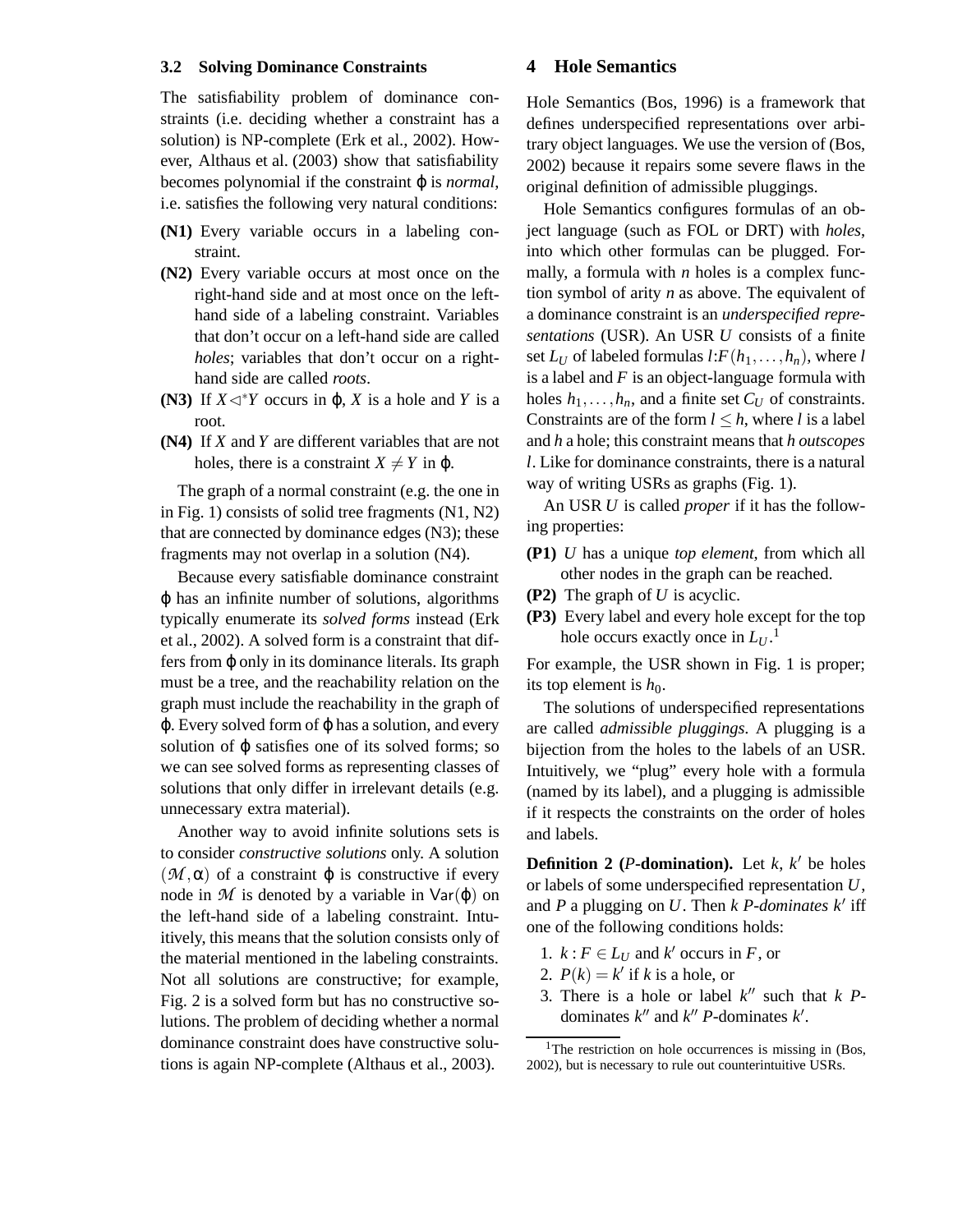## **3.2 Solving Dominance Constraints**

The satisfiability problem of dominance constraints (i.e. deciding whether a constraint has a solution) is NP-complete (Erk et al., 2002). However, Althaus et al. (2003) show that satisfiability becomes polynomial if the constraint ϕ is *normal*, i.e. satisfies the following very natural conditions:

- **(N1)** Every variable occurs in a labeling constraint.
- **(N2)** Every variable occurs at most once on the right-hand side and at most once on the lefthand side of a labeling constraint. Variables that don't occur on a left-hand side are called *holes*; variables that don't occur on a righthand side are called *roots*.
- **(N3)** If  $X \triangleleft^* Y$  occurs in  $\varphi$ , *X* is a hole and *Y* is a root.
- **(N4)** If *X* and *Y* are different variables that are not holes, there is a constraint  $X \neq Y$  in  $\varphi$ .

The graph of a normal constraint (e.g. the one in in Fig. 1) consists of solid tree fragments (N1, N2) that are connected by dominance edges (N3); these fragments may not overlap in a solution (N4).

Because every satisfiable dominance constraint ϕ has an infinite number of solutions, algorithms typically enumerate its *solved forms* instead (Erk et al., 2002). A solved form is a constraint that differs from ϕ only in its dominance literals. Its graph must be a tree, and the reachability relation on the graph must include the reachability in the graph of  $\varphi$ . Every solved form of  $\varphi$  has a solution, and every solution of ϕ satisfies one of its solved forms; so we can see solved forms as representing classes of solutions that only differ in irrelevant details (e.g. unnecessary extra material).

Another way to avoid infinite solutions sets is to consider *constructive solutions* only. A solution  $(M, \alpha)$  of a constraint  $\varphi$  is constructive if every node in  $M$  is denoted by a variable in  $Var(\varphi)$  on the left-hand side of a labeling constraint. Intuitively, this means that the solution consists only of the material mentioned in the labeling constraints. Not all solutions are constructive; for example, Fig. 2 is a solved form but has no constructive solutions. The problem of deciding whether a normal dominance constraint does have constructive solutions is again NP-complete (Althaus et al., 2003).

### **4 Hole Semantics**

Hole Semantics (Bos, 1996) is a framework that defines underspecified representations over arbitrary object languages. We use the version of (Bos, 2002) because it repairs some severe flaws in the original definition of admissible pluggings.

Hole Semantics configures formulas of an object language (such as FOL or DRT) with *holes*, into which other formulas can be plugged. Formally, a formula with *n* holes is a complex function symbol of arity *n* as above. The equivalent of a dominance constraint is an *underspecified representations* (USR). An USR *U* consists of a finite set  $L_U$  of labeled formulas  $l: F(h_1, \ldots, h_n)$ , where  $l$ is a label and *F* is an object-language formula with holes  $h_1, \ldots, h_n$ , and a finite set  $C_U$  of constraints. Constraints are of the form  $l \leq h$ , where *l* is a label and *h* a hole; this constraint means that *h outscopes l*. Like for dominance constraints, there is a natural way of writing USRs as graphs (Fig. 1).

An USR *U* is called *proper* if it has the following properties:

- **(P1)** *U* has a unique *top element*, from which all other nodes in the graph can be reached.
- **(P2)** The graph of *U* is acyclic.
- **(P3)** Every label and every hole except for the top hole occurs exactly once in *L<sup>U</sup>* . 1

For example, the USR shown in Fig. 1 is proper; its top element is  $h_0$ .

The solutions of underspecified representations are called *admissible pluggings*. A plugging is a bijection from the holes to the labels of an USR. Intuitively, we "plug" every hole with a formula (named by its label), and a plugging is admissible if it respects the constraints on the order of holes and labels.

**Definition** 2 (*P***-domination**). Let  $k$ ,  $k'$  be holes or labels of some underspecified representation *U*, and  $P$  a plugging on  $U$ . Then  $k$   $P$ -dominates  $k'$  iff one of the following conditions holds:

- 1.  $k: F \in L_U$  and  $k'$  occurs in *F*, or
- 2.  $P(k) = k'$  if *k* is a hole, or
- 3. There is a hole or label  $k''$  such that  $k$  *P*dominates  $k''$  and  $k''$  *P*-dominates  $k'$ .

<sup>&</sup>lt;sup>1</sup>The restriction on hole occurrences is missing in  $(Bos,$ 2002), but is necessary to rule out counterintuitive USRs.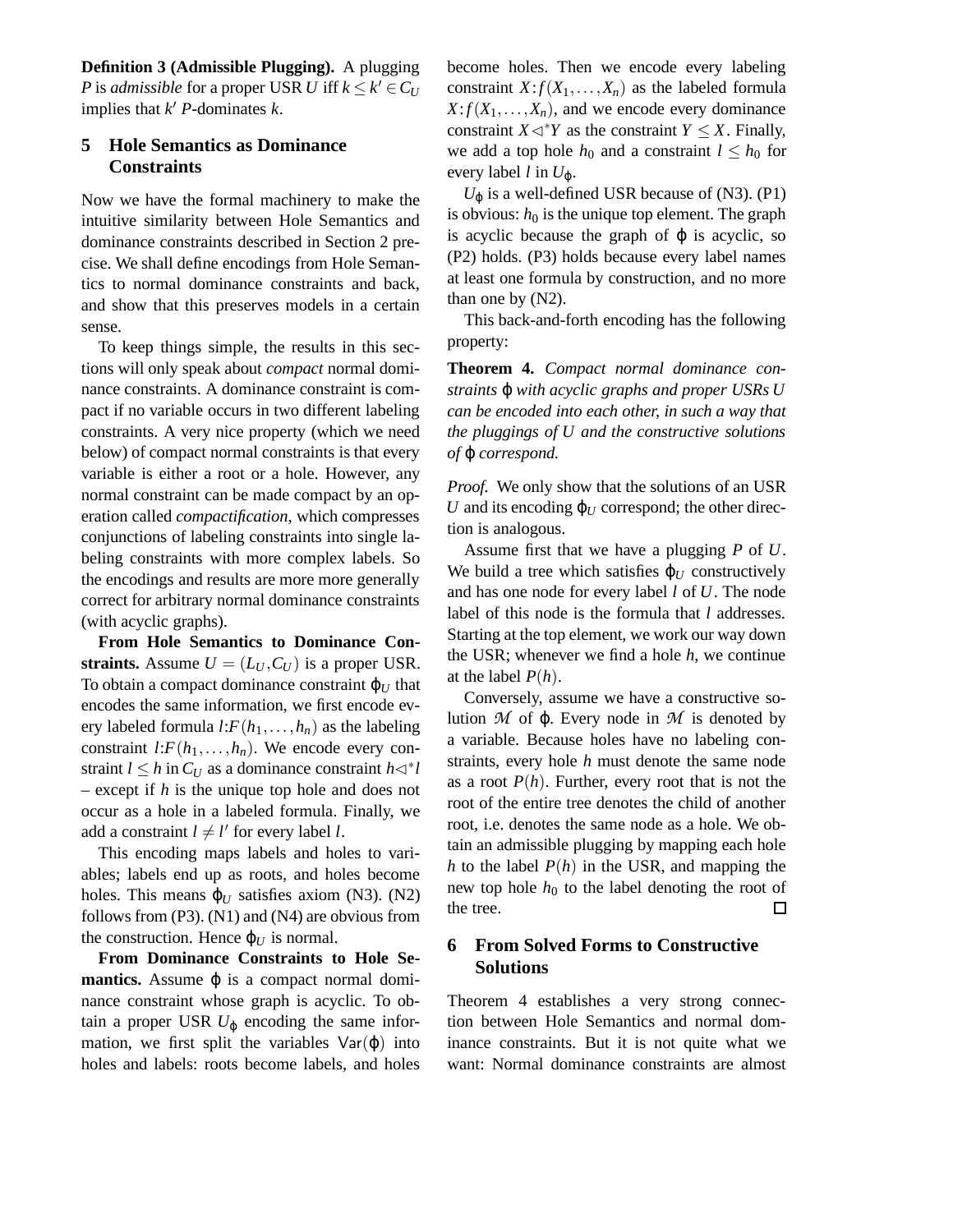**Definition 3 (Admissible Plugging).** A plugging *P* is *admissible* for a proper USR *U* iff  $k \leq k' \in C_U$ implies that  $k'$  *P*-dominates  $k$ .

## **5 Hole Semantics as Dominance Constraints**

Now we have the formal machinery to make the intuitive similarity between Hole Semantics and dominance constraints described in Section 2 precise. We shall define encodings from Hole Semantics to normal dominance constraints and back, and show that this preserves models in a certain sense.

To keep things simple, the results in this sections will only speak about *compact* normal dominance constraints. A dominance constraint is compact if no variable occurs in two different labeling constraints. A very nice property (which we need below) of compact normal constraints is that every variable is either a root or a hole. However, any normal constraint can be made compact by an operation called *compactification*, which compresses conjunctions of labeling constraints into single labeling constraints with more complex labels. So the encodings and results are more more generally correct for arbitrary normal dominance constraints (with acyclic graphs).

**From Hole Semantics to Dominance Constraints.** Assume  $U = (L_U, C_U)$  is a proper USR. To obtain a compact dominance constraint  $\varphi_U$  that encodes the same information, we first encode every labeled formula  $l: F(h_1, \ldots, h_n)$  as the labeling constraint  $l: F(h_1, \ldots, h_n)$ . We encode every constraint  $l \leq h$  in  $C_U$  as a dominance constraint  $h \triangleleft^* l$ – except if *h* is the unique top hole and does not occur as a hole in a labeled formula. Finally, we add a constraint  $l \neq l'$  for every label *l*.

This encoding maps labels and holes to variables; labels end up as roots, and holes become holes. This means  $\varphi_U$  satisfies axiom (N3). (N2) follows from (P3). (N1) and (N4) are obvious from the construction. Hence  $\varphi_U$  is normal.

**From Dominance Constraints to Hole Semantics.** Assume  $\varphi$  is a compact normal dominance constraint whose graph is acyclic. To obtain a proper USR  $U_{\varphi}$  encoding the same information, we first split the variables  $Var(\varphi)$  into holes and labels: roots become labels, and holes

become holes. Then we encode every labeling constraint  $X: f(X_1, \ldots, X_n)$  as the labeled formula  $X: f(X_1, \ldots, X_n)$ , and we encode every dominance constraint *X*  $\lhd$ <sup>\*</sup>*Y* as the constraint *Y*  $\leq$  *X*. Finally, we add a top hole  $h_0$  and a constraint  $l \leq h_0$  for every label *l* in  $U_{\varphi}$ .

 $U_{\varphi}$  is a well-defined USR because of (N3). (P1) is obvious:  $h_0$  is the unique top element. The graph is acyclic because the graph of  $\varphi$  is acyclic, so (P2) holds. (P3) holds because every label names at least one formula by construction, and no more than one by (N2).

This back-and-forth encoding has the following property:

**Theorem 4.** *Compact normal dominance constraints* ϕ *with acyclic graphs and proper USRs U can be encoded into each other, in such a way that the pluggings of U and the constructive solutions of* ϕ *correspond.*

*Proof.* We only show that the solutions of an USR *U* and its encoding  $\varphi$ *U* correspond; the other direction is analogous.

Assume first that we have a plugging *P* of *U*. We build a tree which satisfies  $\varphi_U$  constructively and has one node for every label *l* of *U*. The node label of this node is the formula that *l* addresses. Starting at the top element, we work our way down the USR; whenever we find a hole *h*, we continue at the label  $P(h)$ .

Conversely, assume we have a constructive solution  $M$  of  $\varphi$ . Every node in  $M$  is denoted by a variable. Because holes have no labeling constraints, every hole *h* must denote the same node as a root  $P(h)$ . Further, every root that is not the root of the entire tree denotes the child of another root, i.e. denotes the same node as a hole. We obtain an admissible plugging by mapping each hole *h* to the label  $P(h)$  in the USR, and mapping the new top hole  $h_0$  to the label denoting the root of the tree.  $\Box$ 

## **6 From Solved Forms to Constructive Solutions**

Theorem 4 establishes a very strong connection between Hole Semantics and normal dominance constraints. But it is not quite what we want: Normal dominance constraints are almost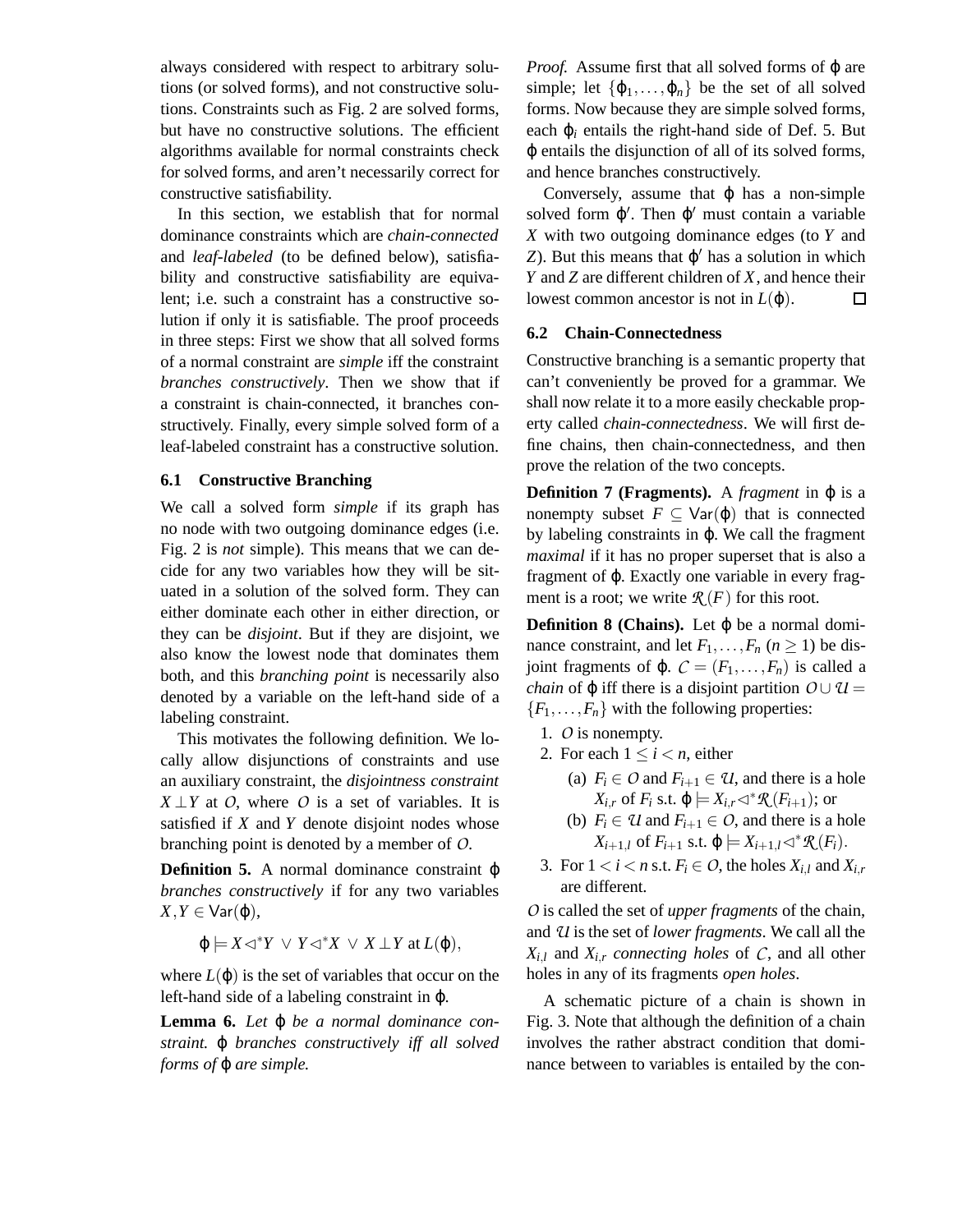always considered with respect to arbitrary solutions (or solved forms), and not constructive solutions. Constraints such as Fig. 2 are solved forms, but have no constructive solutions. The efficient algorithms available for normal constraints check for solved forms, and aren't necessarily correct for constructive satisfiability.

In this section, we establish that for normal dominance constraints which are *chain-connected* and *leaf-labeled* (to be defined below), satisfiability and constructive satisfiability are equivalent; i.e. such a constraint has a constructive solution if only it is satisfiable. The proof proceeds in three steps: First we show that all solved forms of a normal constraint are *simple* iff the constraint *branches constructively*. Then we show that if a constraint is chain-connected, it branches constructively. Finally, every simple solved form of a leaf-labeled constraint has a constructive solution.

## **6.1 Constructive Branching**

We call a solved form *simple* if its graph has no node with two outgoing dominance edges (i.e. Fig. 2 is *not* simple). This means that we can decide for any two variables how they will be situated in a solution of the solved form. They can either dominate each other in either direction, or they can be *disjoint*. But if they are disjoint, we also know the lowest node that dominates them both, and this *branching point* is necessarily also denoted by a variable on the left-hand side of a labeling constraint.

This motivates the following definition. We locally allow disjunctions of constraints and use an auxiliary constraint, the *disjointness constraint X*  $\perp$ *Y* at *O*, where *O* is a set of variables. It is satisfied if *X* and *Y* denote disjoint nodes whose branching point is denoted by a member of *O*.

**Definition 5.** A normal dominance constraint φ *branches constructively* if for any two variables  $X, Y \in \text{Var}(\phi)$ ,

$$
\varphi \models X \lhd^* Y \lor Y \lhd^* X \lor X \perp Y \text{ at } L(\varphi),
$$

where  $L(\varphi)$  is the set of variables that occur on the left-hand side of a labeling constraint in ϕ.

**Lemma 6.** *Let* ϕ *be a normal dominance constraint.* ϕ *branches constructively iff all solved forms of* ϕ *are simple.*

*Proof.* Assume first that all solved forms of φ are simple; let  $\{\varphi_1,\ldots,\varphi_n\}$  be the set of all solved forms. Now because they are simple solved forms, each  $\varphi_i$  entails the right-hand side of Def. 5. But ϕ entails the disjunction of all of its solved forms, and hence branches constructively.

Conversely, assume that  $\varphi$  has a non-simple solved form  $\varphi'$ . Then  $\varphi'$  must contain a variable *X* with two outgoing dominance edges (to *Y* and  $Z$ ). But this means that  $\varphi'$  has a solution in which *Y* and *Z* are different children of *X*, and hence their lowest common ancestor is not in  $L(\varphi)$ .  $\Box$ 

## **6.2 Chain-Connectedness**

Constructive branching is a semantic property that can't conveniently be proved for a grammar. We shall now relate it to a more easily checkable property called *chain-connectedness*. We will first define chains, then chain-connectedness, and then prove the relation of the two concepts.

**Definition 7** (**Fragments**). A *fragment* in  $\varphi$  is a nonempty subset  $F \subseteq \text{Var}(\varphi)$  that is connected by labeling constraints in ϕ. We call the fragment *maximal* if it has no proper superset that is also a fragment of ϕ. Exactly one variable in every fragment is a root; we write  $\mathcal{R}(F)$  for this root.

**Definition 8** (Chains). Let  $\varphi$  be a normal dominance constraint, and let  $F_1, \ldots, F_n$  ( $n \geq 1$ ) be dis*joint fragments of φ.*  $C = (F_1, \ldots, F_n)$  *is called a chain* of  $\varphi$  iff there is a disjoint partition  $O \cup U =$  ${F_1, \ldots, F_n}$  with the following properties:

- 1. *O* is nonempty.
- 2. For each  $1 \leq i \leq n$ , either
	- (a)  $F_i \in O$  and  $F_{i+1} \in U$ , and there is a hole  $X_{i,r}$  of  $F_i$  s.t.  $\varphi \models X_{i,r} \triangleleft^* \mathcal{R}(F_{i+1});$  or
	- (b)  $F_i \in \mathcal{U}$  and  $F_{i+1} \in \mathcal{O}$ , and there is a hole  $X_{i+1,l}$  of  $F_{i+1}$  s.t.  $\varphi \models X_{i+1,l} \triangleleft^* \mathcal{R}(F_i)$ .
- 3. For  $1 < i < n$  s.t.  $F_i \in O$ , the holes  $X_{i,l}$  and  $X_{i,r}$ are different.

*O* is called the set of *upper fragments* of the chain, and *U* is the set of *lower fragments*. We call all the  $X_{i,l}$  and  $X_{i,r}$  *connecting holes* of *C*, and all other holes in any of its fragments *open holes*.

A schematic picture of a chain is shown in Fig. 3. Note that although the definition of a chain involves the rather abstract condition that dominance between to variables is entailed by the con-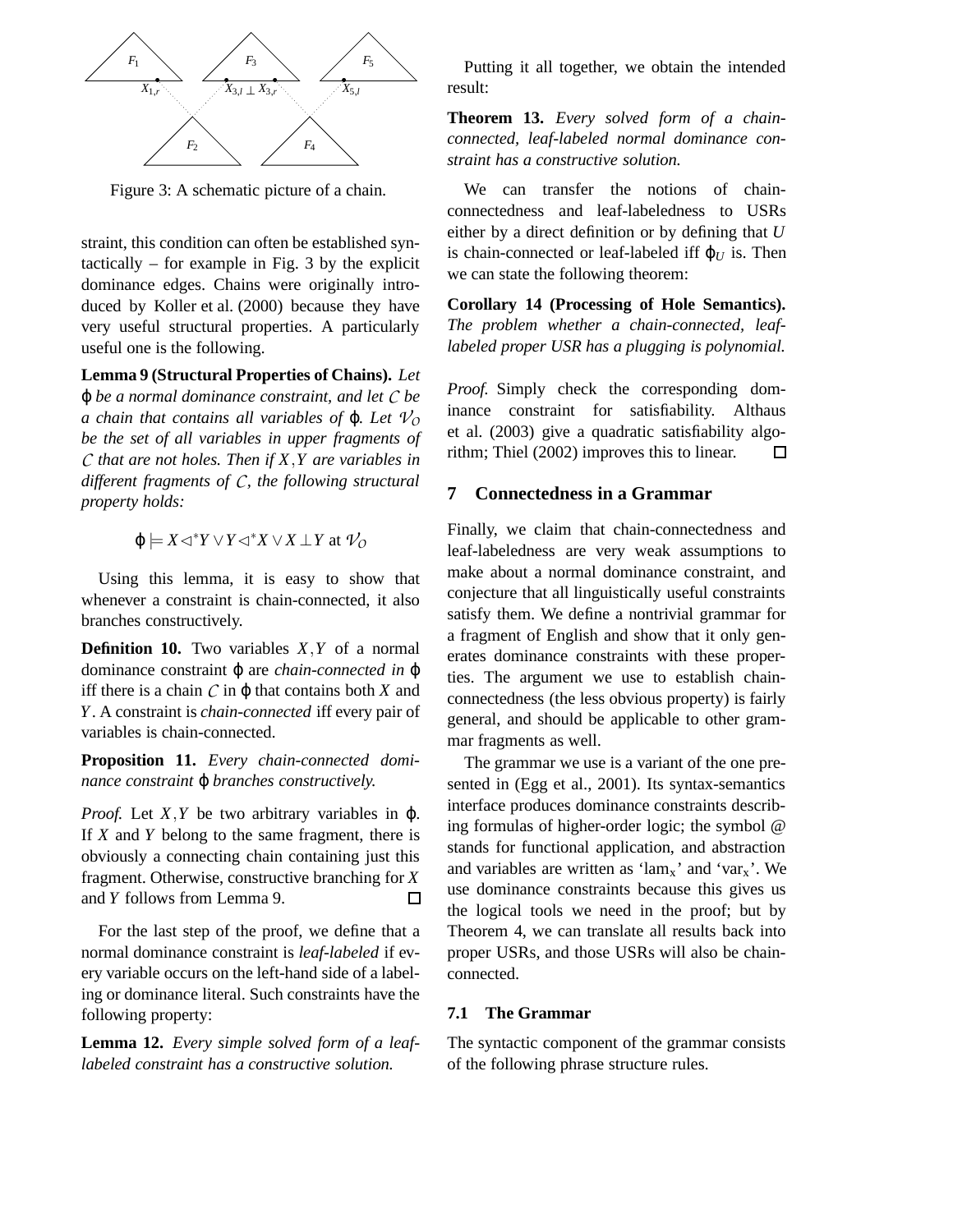

Figure 3: A schematic picture of a chain.

straint, this condition can often be established syntactically – for example in Fig. 3 by the explicit dominance edges. Chains were originally introduced by Koller et al. (2000) because they have very useful structural properties. A particularly useful one is the following.

**Lemma 9 (Structural Properties of Chains).** *Let* ϕ *be a normal dominance constraint, and let C be a chain that contains all variables of*  $\varphi$ *. Let*  $\mathcal{V}_0$ *be the set of all variables in upper fragments of C that are not holes. Then if X*,*Y are variables in different fragments of C, the following structural property holds:*

$$
\phi \models X \lhd^* Y \lor Y \lhd^* X \lor X \mathbin{\perp} Y \text{ at } \mathcal{V}_O
$$

Using this lemma, it is easy to show that whenever a constraint is chain-connected, it also branches constructively.

**Definition 10.** Two variables *X*,*Y* of a normal dominance constraint ϕ are *chain-connected in* ϕ iff there is a chain  $C$  in  $\varphi$  that contains both  $X$  and *Y*. A constraint is *chain-connected* iff every pair of variables is chain-connected.

**Proposition 11.** *Every chain-connected dominance constraint* ϕ *branches constructively.*

*Proof.* Let *X*, *Y* be two arbitrary variables in φ. If *X* and *Y* belong to the same fragment, there is obviously a connecting chain containing just this fragment. Otherwise, constructive branching for *X* and *Y* follows from Lemma 9.  $\Box$ 

For the last step of the proof, we define that a normal dominance constraint is *leaf-labeled* if every variable occurs on the left-hand side of a labeling or dominance literal. Such constraints have the following property:

**Lemma 12.** *Every simple solved form of a leaflabeled constraint has a constructive solution.*

Putting it all together, we obtain the intended result:

**Theorem 13.** *Every solved form of a chainconnected, leaf-labeled normal dominance constraint has a constructive solution.*

We can transfer the notions of chainconnectedness and leaf-labeledness to USRs either by a direct definition or by defining that *U* is chain-connected or leaf-labeled iff  $\varphi$ <sub>*U*</sub> is. Then we can state the following theorem:

**Corollary 14 (Processing of Hole Semantics).** *The problem whether a chain-connected, leaflabeled proper USR has a plugging is polynomial.*

*Proof.* Simply check the corresponding dominance constraint for satisfiability. Althaus et al. (2003) give a quadratic satisfiability algorithm; Thiel (2002) improves this to linear.  $\Box$ 

## **7 Connectedness in a Grammar**

Finally, we claim that chain-connectedness and leaf-labeledness are very weak assumptions to make about a normal dominance constraint, and conjecture that all linguistically useful constraints satisfy them. We define a nontrivial grammar for a fragment of English and show that it only generates dominance constraints with these properties. The argument we use to establish chainconnectedness (the less obvious property) is fairly general, and should be applicable to other grammar fragments as well.

The grammar we use is a variant of the one presented in (Egg et al., 2001). Its syntax-semantics interface produces dominance constraints describing formulas of higher-order logic; the symbol @ stands for functional application, and abstraction and variables are written as ' $lam_x$ ' and 'var<sub>x</sub>'. We use dominance constraints because this gives us the logical tools we need in the proof; but by Theorem 4, we can translate all results back into proper USRs, and those USRs will also be chainconnected.

### **7.1 The Grammar**

The syntactic component of the grammar consists of the following phrase structure rules.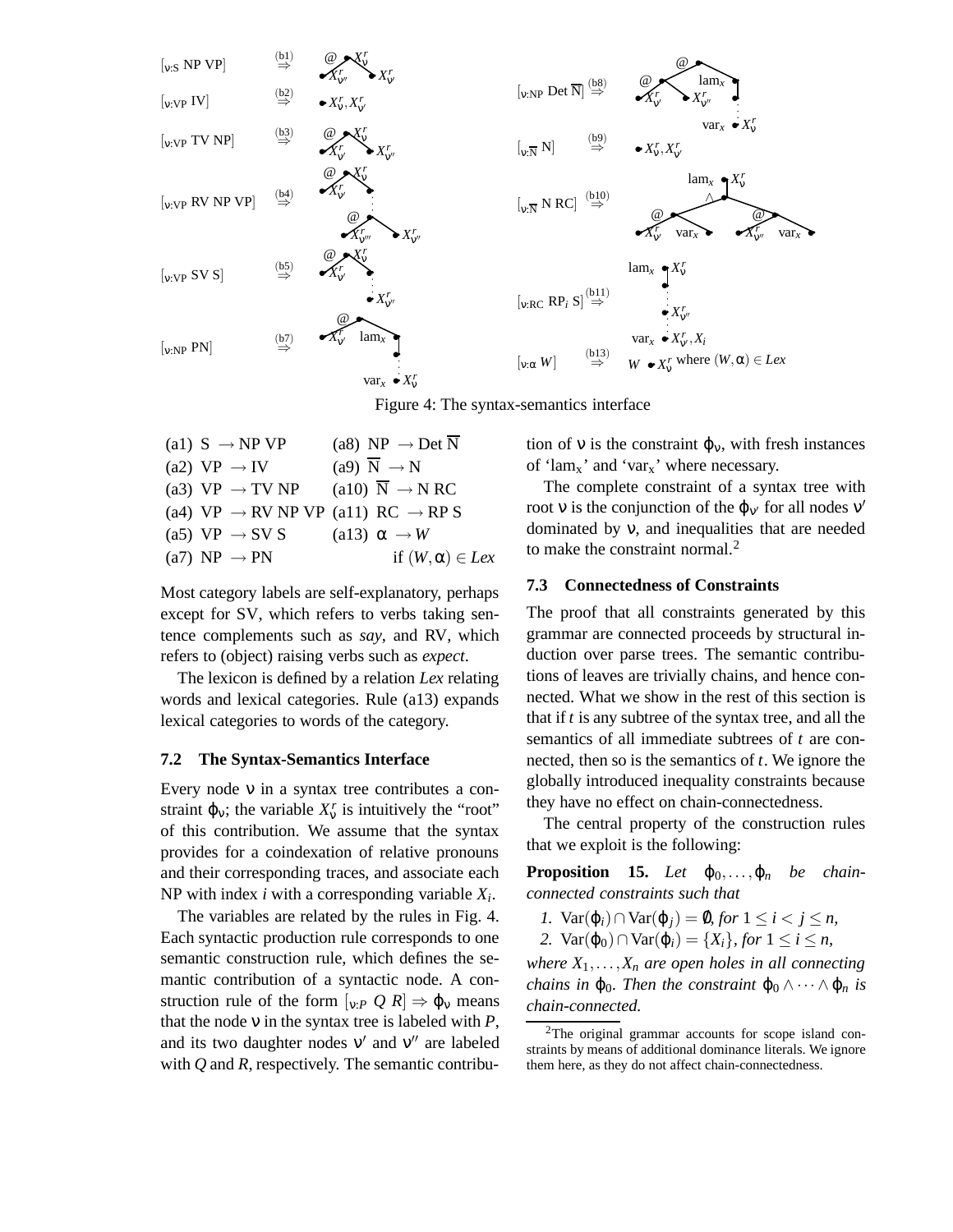

Figure 4: The syntax-semantics interface

| (a1) $S \rightarrow NP VP$  | (a8) NP $\rightarrow$ Det N                                |
|-----------------------------|------------------------------------------------------------|
| (a2) $VP \rightarrow IV$    | (a9) $\overline{N} \rightarrow N$                          |
| (a3) $VP \rightarrow TV NP$ | (a10) $\overline{N} \rightarrow N RC$                      |
|                             | (a4) VP $\rightarrow$ RV NP VP (a11) RC $\rightarrow$ RP S |
| (a5) $VP \rightarrow SV S$  | (a13) $\alpha \rightarrow W$                               |
| (a7) NP $\rightarrow$ PN    | if $(W, \alpha) \in Lex$                                   |

Most category labels are self-explanatory, perhaps except for SV, which refers to verbs taking sentence complements such as *say*, and RV, which refers to (object) raising verbs such as *expect*.

The lexicon is defined by a relation *Lex* relating words and lexical categories. Rule (a13) expands lexical categories to words of the category.

#### **7.2 The Syntax-Semantics Interface**

Every node ν in a syntax tree contributes a constraint  $\varphi_v$ ; the variable  $X_v^r$  is intuitively the "root" of this contribution. We assume that the syntax provides for a coindexation of relative pronouns and their corresponding traces, and associate each NP with index *i* with a corresponding variable *X<sup>i</sup>* .

The variables are related by the rules in Fig. 4. Each syntactic production rule corresponds to one semantic construction rule, which defines the semantic contribution of a syntactic node. A construction rule of the form  $\vert_{v:P} Q R \vert \Rightarrow \varphi_v$  means that the node ν in the syntax tree is labeled with *P*, and its two daughter nodes  $v'$  and  $v''$  are labeled with *Q* and *R*, respectively. The semantic contribution of v is the constraint  $\varphi_v$ , with fresh instances of 'lam<sub>x</sub>' and 'var<sub>x</sub>' where necessary.

The complete constraint of a syntax tree with root v is the conjunction of the  $\varphi_{v'}$  for all nodes  $v'$ dominated by ν, and inequalities that are needed to make the constraint normal.<sup>2</sup>

### **7.3 Connectedness of Constraints**

The proof that all constraints generated by this grammar are connected proceeds by structural induction over parse trees. The semantic contributions of leaves are trivially chains, and hence connected. What we show in the rest of this section is that if *t* is any subtree of the syntax tree, and all the semantics of all immediate subtrees of *t* are connected, then so is the semantics of *t*. We ignore the globally introduced inequality constraints because they have no effect on chain-connectedness.

The central property of the construction rules that we exploit is the following:

**Proposition 15.** *Let*  $\varphi_0, \ldots, \varphi_n$  *be chainconnected constraints such that*

- *1.*  $Var(\varphi_i) \cap Var(\varphi_j) = ∅$ *, for*  $1 \leq i < j \leq n$ *,*
- 2. Var(φ<sub>0</sub>) ∩ Var(φ<sub>*i*</sub>) = {*X<sub>i</sub>*}*, for* 1 ≤ *i* ≤ *n*,

*where*  $X_1, \ldots, X_n$  *are open holes in all connecting chains in*  $\varphi_0$ *. Then the constraint*  $\varphi_0 \wedge \cdots \wedge \varphi_n$  *is chain-connected.*

<sup>&</sup>lt;sup>2</sup>The original grammar accounts for scope island constraints by means of additional dominance literals. We ignore them here, as they do not affect chain-connectedness.